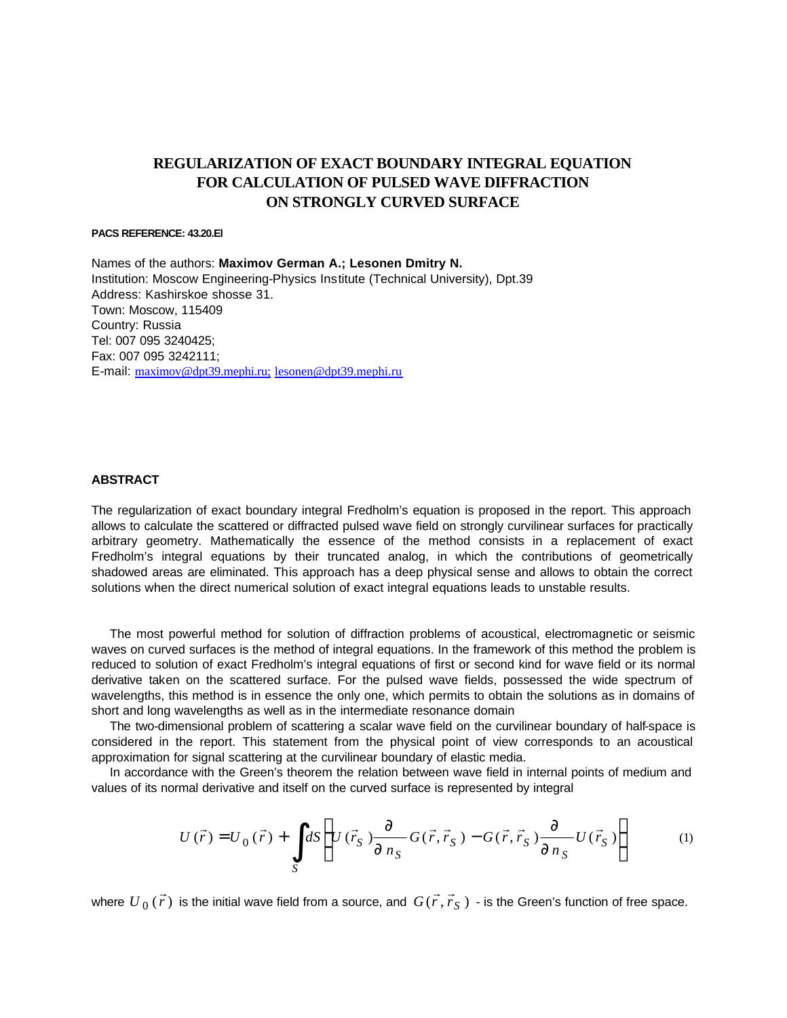# **REGULARIZATION OF EXACT BOUNDARY INTEGRAL EQUATION FOR CALCULATION OF PULSED WAVE DIFFRACTION ON STRONGLY CURVED SURFACE**

### **PACS REFERENCE: 43.20.El**

Names of the authors: **Maximov German A.; Lesonen Dmitry N.** Institution: Moscow Engineering-Physics Institute (Technical University), Dpt.39 Address: Kashirskoe shosse 31. Town: Moscow, 115409 Country: Russia Tel: 007 095 3240425; Fax: 007 095 3242111; E-mail: maximov@dpt39.mephi.ru; lesonen@dpt39.mephi.ru

## **ABSTRACT**

The regularization of exact boundary integral Fredholm's equation is proposed in the report. This approach allows to calculate the scattered or diffracted pulsed wave field on strongly curvilinear surfaces for practically arbitrary geometry. Mathematically the essence of the method consists in a replacement of exact Fredholm's integral equations by their truncated analog, in which the contributions of geometrically shadowed areas are eliminated. This approach has a deep physical sense and allows to obtain the correct solutions when the direct numerical solution of exact integral equations leads to unstable results.

The most powerful method for solution of diffraction problems of acoustical, electromagnetic or seismic waves on curved surfaces is the method of integral equations. In the framework of this method the problem is reduced to solution of exact Fredholm's integral equations of first or second kind for wave field or its normal derivative taken on the scattered surface. For the pulsed wave fields, possessed the wide spectrum of wavelengths, this method is in essence the only one, which permits to obtain the solutions as in domains of short and long wavelengths as well as in the intermediate resonance domain

The two-dimensional problem of scattering a scalar wave field on the curvilinear boundary of half-space is considered in the report. This statement from the physical point of view corresponds to an acoustical approximation for signal scattering at the curvilinear boundary of elastic media.

In accordance with the Green's theorem the relation between wave field in internal points of medium and values of its normal derivative and itself on the curved surface is represented by integral

$$
U(\vec{r}) = U_0(\vec{r}) + \int_S dS \left\{ U(\vec{r}_S) \frac{\llbracket}{\llbracket n_S \rrbracket} G(\vec{r}, \vec{r}_S) - G(\vec{r}, \vec{r}_S) \frac{\llbracket}{\llbracket n_S \rrbracket} U(\vec{r}_S) \right\}
$$
(1)

where  $\left. U_{\,0}\,(\vec{r}\,)\right.$  $\rightarrow$ is the initial wave field from a source, and  $G(\vec{r}, \vec{r}_S)$  $(\vec{r}, \vec{r}_{S})$  - is the Green's function of free space.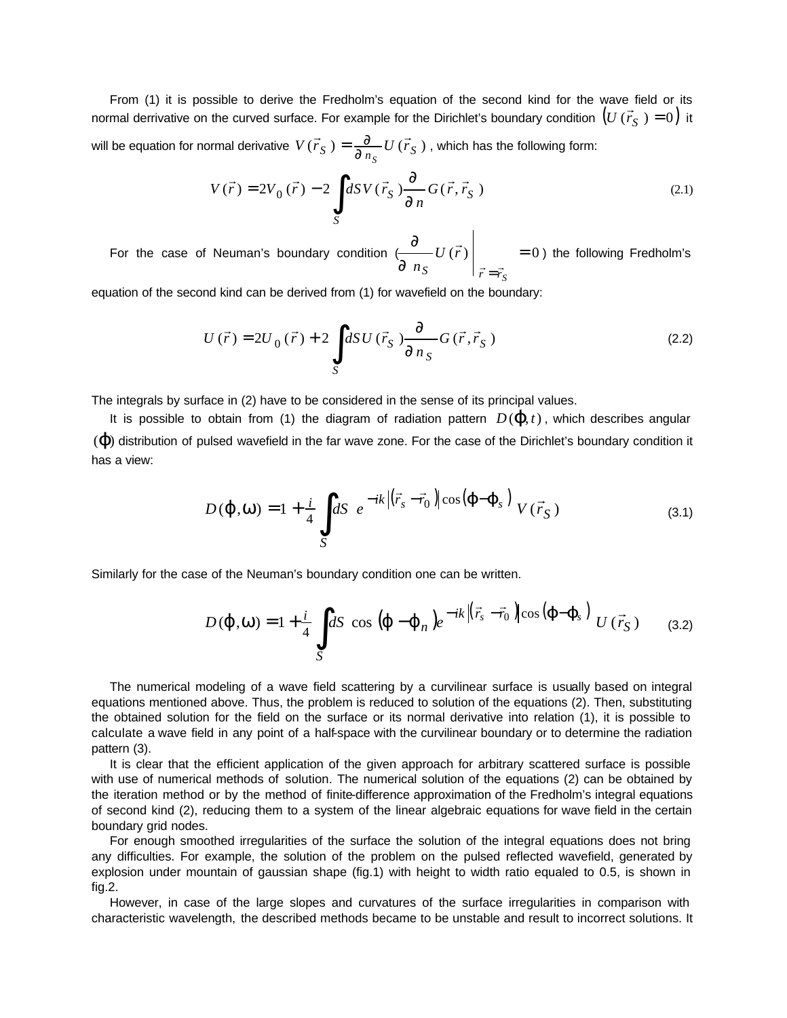From (1) it is possible to derive the Fredholm's equation of the second kind for the wave field or its  $\left( \frac{1}{2} \right)$ normal derrivative on the curved surface. For example for the Dirichlet's boundary condition  $\left(U\left(\vec{r}_S\ \right)=0\right)$  it will be equation for normal derivative  $V(\vec{r}_S) = \frac{1}{\P{n_S}} U(\vec{r}_S)$  $\rightarrow$  r  $\rightarrow$  $=\displaystyle{\frac{\P}{\P_{n_S}}U\left(\vec{r}_S\ \right)}$  , which has the following form:

$$
V(\vec{r}) = 2V_0(\vec{r}) - 2 \int_S dSV(\vec{r}_S) \frac{\sqrt{\pi}}{\sqrt{\pi}} G(\vec{r}, \vec{r}_S)
$$
 (2.1)

For the case of Neuman's boundary condition ( *¶ ¶ n U r S*  $|\vec{r} = \vec{r_S}|$  $\vec{r}$  $\vec{r} = \vec{r}$  $= 0$ ) the following Fredholm's

equation of the second kind can be derived from (1) for wavefield on the boundary:

$$
U(\vec{r}) = 2U_0(\vec{r}) + 2 \int_S dSU(\vec{r}_S) \frac{\sqrt{\pi}}{\sqrt{\pi} n_S} G(\vec{r}, \vec{r}_S)
$$
 (2.2)

The integrals by surface in (2) have to be considered in the sense of its principal values.

It is possible to obtain from (1) the diagram of radiation pattern  $D(\boldsymbol{j},t)$ , which describes angular  $(\boldsymbol{j})$  distribution of pulsed wavefield in the far wave zone. For the case of the Dirichlet's boundary condition it has a view:

$$
D(\boldsymbol{j}, \boldsymbol{W}) = 1 + \frac{i}{4} \int_{S} dS \ e^{-ik \left| (\vec{r}_s - \vec{r}_0) \right| \cos(\boldsymbol{j} - \boldsymbol{j}_s) \} V(\vec{r}_S)
$$
 (3.1)

Similarly for the case of the Neuman's boundary condition one can be written.

$$
D(\boldsymbol{j}, \boldsymbol{W}) = 1 + \frac{i}{4} \int_{S} dS \cos(\boldsymbol{j} - \boldsymbol{j}_{n}) e^{-ik \left| (\vec{r}_{s} - \vec{r}_{0}) \right| \cos(\boldsymbol{j} - \boldsymbol{j}_{s})} U(\vec{r}_{S}) \qquad (3.2)
$$

The numerical modeling of a wave field scattering by a curvilinear surface is usually based on integral equations mentioned above. Thus, the problem is reduced to solution of the equations (2). Then, substituting the obtained solution for the field on the surface or its normal derivative into relation (1), it is possible to calculate a wave field in any point of a half-space with the curvilinear boundary or to determine the radiation pattern (3).

It is clear that the efficient application of the given approach for arbitrary scattered surface is possible with use of numerical methods of solution. The numerical solution of the equations (2) can be obtained by the iteration method or by the method of finite-difference approximation of the Fredholm's integral equations of second kind (2), reducing them to a system of the linear algebraic equations for wave field in the certain boundary grid nodes.

For enough smoothed irregularities of the surface the solution of the integral equations does not bring any difficulties. For example, the solution of the problem on the pulsed reflected wavefield, generated by explosion under mountain of gaussian shape (fig.1) with height to width ratio equaled to 0.5, is shown in fig.2.

However, in case of the large slopes and curvatures of the surface irregularities in comparison with characteristic wavelength, the described methods became to be unstable and result to incorrect solutions. It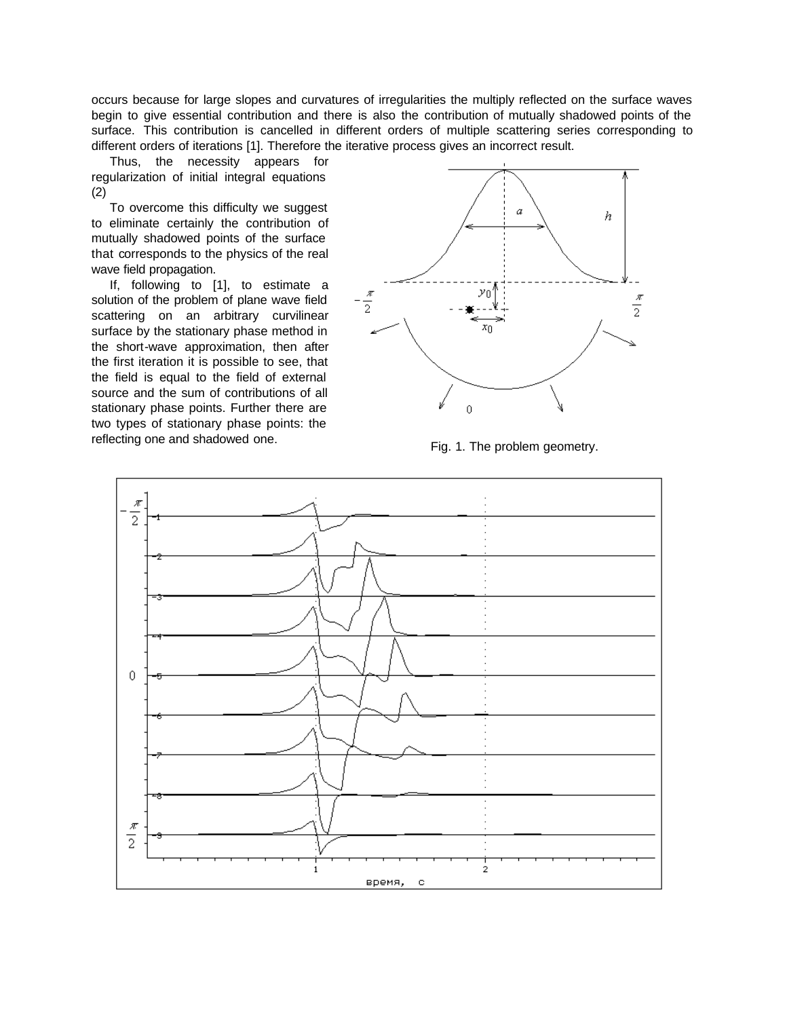occurs because for large slopes and curvatures of irregularities the multiply reflected on the surface waves begin to give essential contribution and there is also the contribution of mutually shadowed points of the surface. This contribution is cancelled in different orders of multiple scattering series corresponding to different orders of iterations [1]. Therefore the iterative process gives an incorrect result.

Thus, the necessity appears for regularization of initial integral equations (2)

To overcome this difficulty we suggest to eliminate certainly the contribution of mutually shadowed points of the surface that corresponds to the physics of the real wave field propagation.

If, following to [1], to estimate a solution of the problem of plane wave field scattering on an arbitrary curvilinear surface by the stationary phase method in the short-wave approximation, then after the first iteration it is possible to see, that the field is equal to the field of external source and the sum of contributions of all stationary phase points. Further there are two types of stationary phase points: the reflecting one and shadowed one.<br>Fig. 1. The problem geometry.



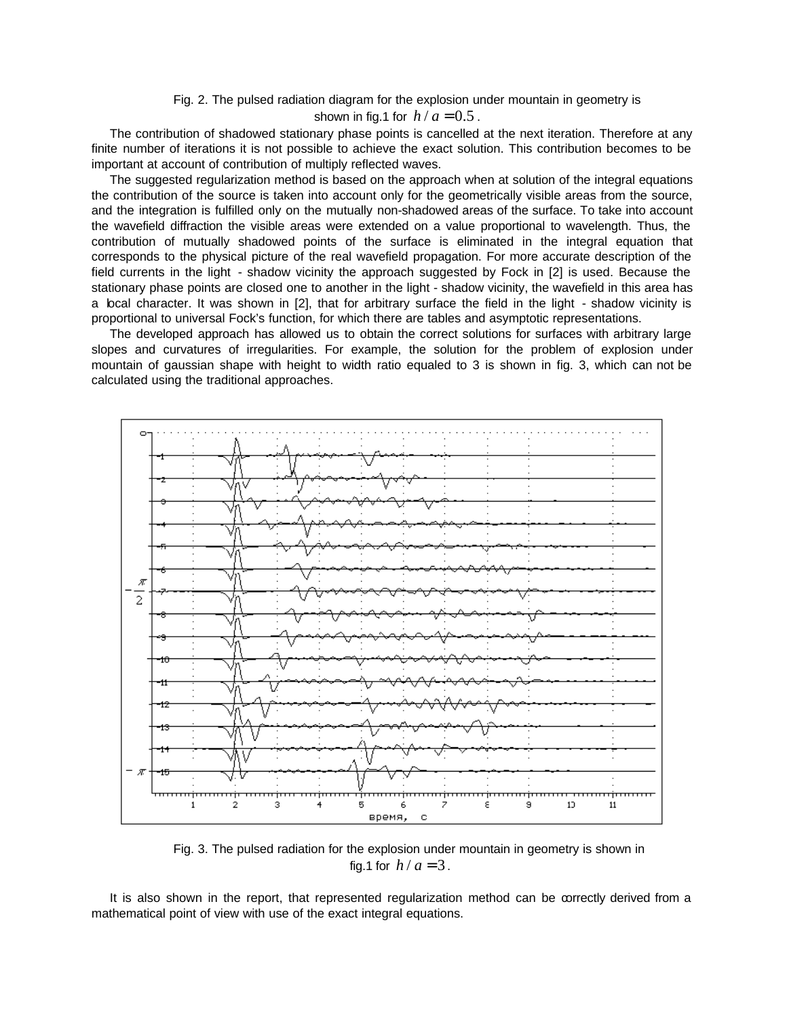Fig. 2. The pulsed radiation diagram for the explosion under mountain in geometry is

## shown in fig.1 for  $h/a = 0.5$ .

The contribution of shadowed stationary phase points is cancelled at the next iteration. Therefore at any finite number of iterations it is not possible to achieve the exact solution. This contribution becomes to be important at account of contribution of multiply reflected waves.

The suggested regularization method is based on the approach when at solution of the integral equations the contribution of the source is taken into account only for the geometrically visible areas from the source, and the integration is fulfilled only on the mutually non-shadowed areas of the surface. To take into account the wavefield diffraction the visible areas were extended on a value proportional to wavelength. Thus, the contribution of mutually shadowed points of the surface is eliminated in the integral equation that corresponds to the physical picture of the real wavefield propagation. For more accurate description of the field currents in the light - shadow vicinity the approach suggested by Fock in [2] is used. Because the stationary phase points are closed one to another in the light - shadow vicinity, the wavefield in this area has a local character. It was shown in [2], that for arbitrary surface the field in the light - shadow vicinity is proportional to universal Fock's function, for which there are tables and asymptotic representations.

The developed approach has allowed us to obtain the correct solutions for surfaces with arbitrary large slopes and curvatures of irregularities. For example, the solution for the problem of explosion under mountain of gaussian shape with height to width ratio equaled to 3 is shown in fig. 3, which can not be calculated using the traditional approaches.



Fig. 3. The pulsed radiation for the explosion under mountain in geometry is shown in fig.1 for  $h/a = 3$ .

It is also shown in the report, that represented regularization method can be correctly derived from a mathematical point of view with use of the exact integral equations.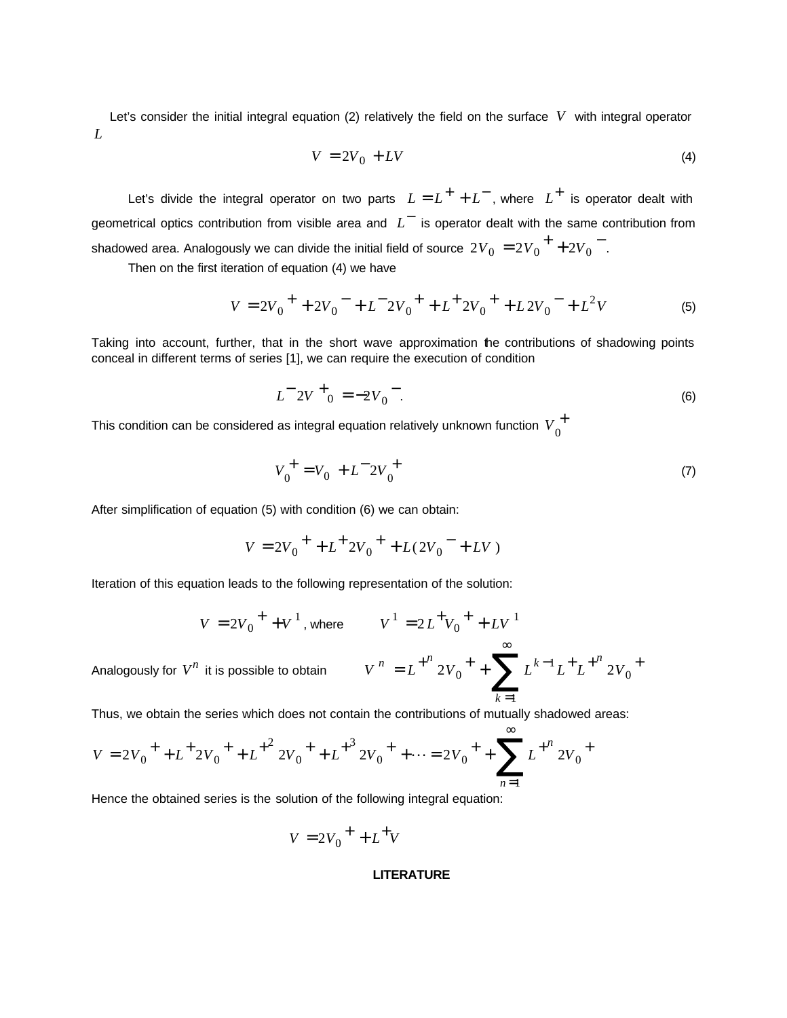Let's consider the initial integral equation (2) relatively the field on the surface *V* with integral operator *L*

$$
V = 2V_0 + LV
$$
 (4)

Let's divide the integral operator on two parts  $L = L^{+} + L^{-}$ , where  $L^{+}$  is operator dealt with geometrical optics contribution from visible area and  $L^-$  is operator dealt with the same contribution from shadowed area. Analogously we can divide the initial field of source  $\left. 2V_0 \right. = 2V_0^{\; +} + 2V_0^{\; -}$ .

Then on the first iteration of equation (4) we have

$$
V = 2V_0^+ + 2V_0^- + L^- 2V_0^+ + L^+ 2V_0^+ + L 2V_0^- + L^2 V
$$
 (5)

Taking into account, further, that in the short wave approximation the contributions of shadowing points conceal in different terms of series [1], we can require the execution of condition

$$
L^{-2}V^{+}_{0} = -2V_{0}^{-}.
$$
 (6)

This condition can be considered as integral equation relatively unknown function  $\,{V}_{0}^{\,\pm}$ 

$$
V_0^+ = V_0 + L^- 2V_0^+ \tag{7}
$$

After simplification of equation (5) with condition (6) we can obtain:

$$
V = 2V_0^+ + L^+ 2V_0^+ + L(2V_0^- + LV)
$$

Iteration of this equation leads to the following representation of the solution:

$$
V = 2V_0^+ + V^1
$$
, where  $V^1 = 2L^+V_0^+ + LV^1$ 

Analogously for 
$$
V^n
$$
 it is possible to obtain  $V^n = L^{+^n} 2V_0^+ + \sum_{k=1}^{\infty} L^{k-1} L^+ L^{+^n} 2V_0^+$ 

Thus, we obtain the series which does not contain the contributions of mutually shadowed areas:

$$
V = 2V_0^+ + L^+ 2V_0^+ + L^{+^2} 2V_0^+ + L^{+^3} 2V_0^+ + \dots = 2V_0^+ + \sum_{n=1}^{\infty} L^{+^n} 2V_0^+
$$

Hence the obtained series is the solution of the following integral equation:

$$
V = 2V_0^+ + L^+V
$$

### **LITERATURE**